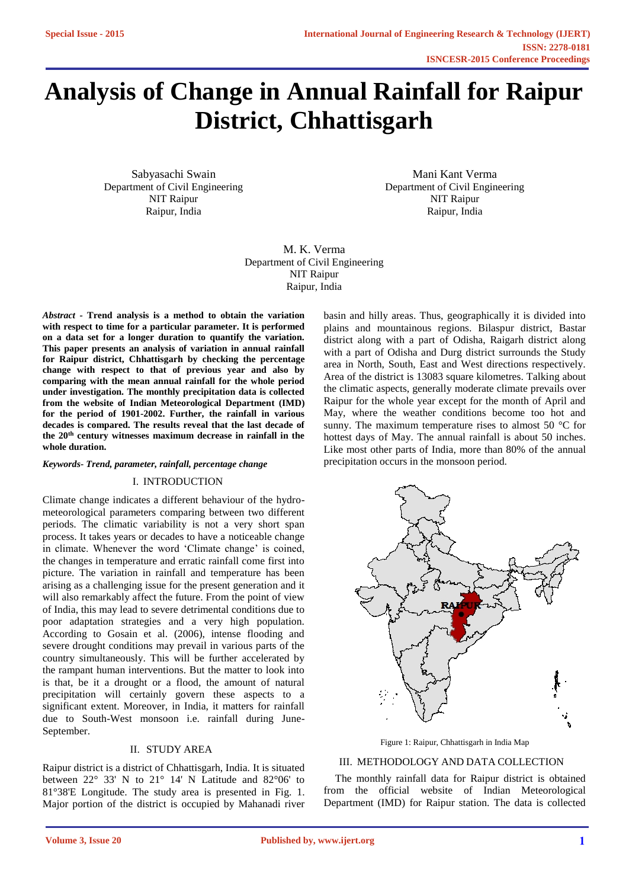# **Analysis of Change in Annual Rainfall for Raipur District, Chhattisgarh**

Sabyasachi Swain Department of Civil Engineering NIT Raipur Raipur, India

Mani Kant Verma Department of Civil Engineering NIT Raipur Raipur, India

M. K. Verma Department of Civil Engineering NIT Raipur Raipur, India

*Abstract -* **Trend analysis is a method to obtain the variation with respect to time for a particular parameter. It is performed on a data set for a longer duration to quantify the variation. This paper presents an analysis of variation in annual rainfall for Raipur district, Chhattisgarh by checking the percentage change with respect to that of previous year and also by comparing with the mean annual rainfall for the whole period under investigation. The monthly precipitation data is collected from the website of Indian Meteorological Department (IMD) for the period of 1901-2002. Further, the rainfall in various decades is compared. The results reveal that the last decade of the 20th century witnesses maximum decrease in rainfall in the whole duration.**

## *Keywords- Trend, parameter, rainfall, percentage change*

## I. INTRODUCTION

Climate change indicates a different behaviour of the hydrometeorological parameters comparing between two different periods. The climatic variability is not a very short span process. It takes years or decades to have a noticeable change in climate. Whenever the word 'Climate change' is coined, the changes in temperature and erratic rainfall come first into picture. The variation in rainfall and temperature has been arising as a challenging issue for the present generation and it will also remarkably affect the future. From the point of view of India, this may lead to severe detrimental conditions due to poor adaptation strategies and a very high population. According to Gosain et al. (2006), intense flooding and severe drought conditions may prevail in various parts of the country simultaneously. This will be further accelerated by the rampant human interventions. But the matter to look into is that, be it a drought or a flood, the amount of natural precipitation will certainly govern these aspects to a significant extent. Moreover, in India, it matters for rainfall due to South-West monsoon i.e. rainfall during June-September.

## II. STUDY AREA

Raipur district is a district of Chhattisgarh, India. It is situated between 22° 33' N to 21° 14' N Latitude and 82°06' to 81°38'E Longitude. The study area is presented in Fig. 1. Major portion of the district is occupied by Mahanadi river basin and hilly areas. Thus, geographically it is divided into plains and mountainous regions. Bilaspur district, Bastar district along with a part of Odisha, Raigarh district along with a part of Odisha and Durg district surrounds the Study area in North, South, East and West directions respectively. Area of the district is 13083 square kilometres. Talking about the climatic aspects, generally moderate climate prevails over Raipur for the whole year except for the month of April and May, where the weather conditions become too hot and sunny. The maximum temperature rises to almost 50 °C for hottest days of May. The annual rainfall is about 50 inches. Like most other parts of India, more than 80% of the annual precipitation occurs in the monsoon period.



Figure 1: Raipur, Chhattisgarh in India Map

## III. METHODOLOGY AND DATA COLLECTION

The monthly rainfall data for Raipur district is obtained from the official website of Indian Meteorological Department (IMD) for Raipur station. The data is collected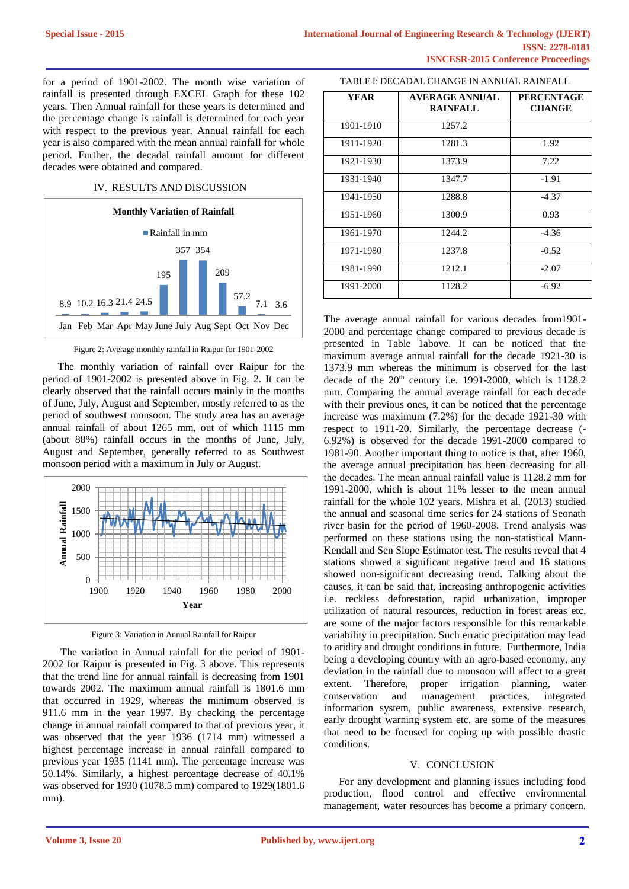for a period of 1901-2002. The month wise variation of rainfall is presented through EXCEL Graph for these 102 years. Then Annual rainfall for these years is determined and the percentage change is rainfall is determined for each year with respect to the previous year. Annual rainfall for each year is also compared with the mean annual rainfall for whole period. Further, the decadal rainfall amount for different decades were obtained and compared.

#### IV. RESULTS AND DISCUSSION



Figure 2: Average monthly rainfall in Raipur for 1901-2002

The monthly variation of rainfall over Raipur for the period of 1901-2002 is presented above in Fig. 2. It can be clearly observed that the rainfall occurs mainly in the months of June, July, August and September, mostly referred to as the period of southwest monsoon. The study area has an average annual rainfall of about 1265 mm, out of which 1115 mm (about 88%) rainfall occurs in the months of June, July, August and September, generally referred to as Southwest monsoon period with a maximum in July or August.



Figure 3: Variation in Annual Rainfall for Raipur

 The variation in Annual rainfall for the period of 1901- 2002 for Raipur is presented in Fig. 3 above. This represents that the trend line for annual rainfall is decreasing from 1901 towards 2002. The maximum annual rainfall is 1801.6 mm that occurred in 1929, whereas the minimum observed is 911.6 mm in the year 1997. By checking the percentage change in annual rainfall compared to that of previous year, it was observed that the year 1936 (1714 mm) witnessed a highest percentage increase in annual rainfall compared to previous year 1935 (1141 mm). The percentage increase was 50.14%. Similarly, a highest percentage decrease of 40.1% was observed for 1930 (1078.5 mm) compared to 1929(1801.6 mm).

### TABLE I: DECADAL CHANGE IN ANNUAL RAINFALL

| YEAR      | <b>AVERAGE ANNUAL</b><br><b>RAINFALL</b> | <b>PERCENTAGE</b><br><b>CHANGE</b> |
|-----------|------------------------------------------|------------------------------------|
| 1901-1910 | 1257.2                                   |                                    |
| 1911-1920 | 1281.3                                   | 1.92                               |
| 1921-1930 | 1373.9                                   | 7.22                               |
| 1931-1940 | 1347.7                                   | $-1.91$                            |
| 1941-1950 | 1288.8                                   | $-4.37$                            |
| 1951-1960 | 1300.9                                   | 0.93                               |
| 1961-1970 | 1244.2                                   | $-4.36$                            |
| 1971-1980 | 1237.8                                   | $-0.52$                            |
| 1981-1990 | 1212.1                                   | $-2.07$                            |
| 1991-2000 | 1128.2                                   | $-6.92$                            |

The average annual rainfall for various decades from1901- 2000 and percentage change compared to previous decade is presented in Table 1above. It can be noticed that the maximum average annual rainfall for the decade 1921-30 is 1373.9 mm whereas the minimum is observed for the last decade of the 20<sup>th</sup> century i.e. 1991-2000, which is 1128.2 mm. Comparing the annual average rainfall for each decade with their previous ones, it can be noticed that the percentage increase was maximum (7.2%) for the decade 1921-30 with respect to 1911-20. Similarly, the percentage decrease (- 6.92%) is observed for the decade 1991-2000 compared to 1981-90. Another important thing to notice is that, after 1960, the average annual precipitation has been decreasing for all the decades. The mean annual rainfall value is 1128.2 mm for 1991-2000, which is about 11% lesser to the mean annual rainfall for the whole 102 years. Mishra et al. (2013) studied the annual and seasonal time series for 24 stations of Seonath river basin for the period of 1960-2008. Trend analysis was performed on these stations using the non-statistical Mann-Kendall and Sen Slope Estimator test. The results reveal that 4 stations showed a significant negative trend and 16 stations showed non-significant decreasing trend. Talking about the causes, it can be said that, increasing anthropogenic activities i.e. reckless deforestation, rapid urbanization, improper utilization of natural resources, reduction in forest areas etc. are some of the major factors responsible for this remarkable variability in precipitation. Such erratic precipitation may lead to aridity and drought conditions in future. Furthermore, India being a developing country with an agro-based economy, any deviation in the rainfall due to monsoon will affect to a great extent. Therefore, proper irrigation planning, water conservation and management practices, integrated information system, public awareness, extensive research, early drought warning system etc. are some of the measures that need to be focused for coping up with possible drastic conditions.

#### V. CONCLUSION

For any development and planning issues including food production, flood control and effective environmental management, water resources has become a primary concern.